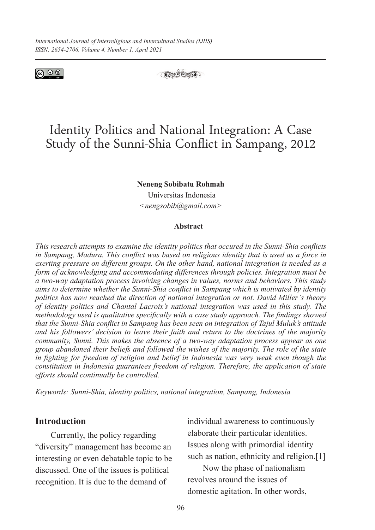



# Identity Politics and National Integration: A Case Study of the Sunni-Shia Conflict in Sampang, 2012

#### **Neneng Sobibatu Rohmah**

Universitas Indonesia *<nengsobib@gmail.com>*

#### **Abstract**

*This research attempts to examine the identity politics that occured in the Sunni-Shia conflicts in Sampang, Madura. This conflict was based on religious identity that is used as a force in exerting pressure on different groups. On the other hand, national integration is needed as a form of acknowledging and accommodating differences through policies. Integration must be a two-way adaptation process involving changes in values, norms and behaviors. This study aims to determine whether the Sunni-Shia conflict in Sampang which is motivated by identity politics has now reached the direction of national integration or not. David Miller's theory of identity politics and Chantal Lacroix's national integration was used in this study. The methodology used is qualitative specifically with a case study approach. The findings showed that the Sunni-Shia conflict in Sampang has been seen on integration of Tajul Muluk's attitude and his followers' decision to leave their faith and return to the doctrines of the majority community, Sunni. This makes the absence of a two-way adaptation process appear as one group abandoned their beliefs and followed the wishes of the majority. The role of the state in fighting for freedom of religion and belief in Indonesia was very weak even though the constitution in Indonesia guarantees freedom of religion. Therefore, the application of state efforts should continually be controlled.*

*Keywords: Sunni-Shia, identity politics, national integration, Sampang, Indonesia*

### **Introduction**

Currently, the policy regarding "diversity" management has become an interesting or even debatable topic to be discussed. One of the issues is political recognition. It is due to the demand of

individual awareness to continuously elaborate their particular identities. Issues along with primordial identity such as nation, ethnicity and religion.<sup>[1]</sup>

Now the phase of nationalism revolves around the issues of domestic agitation. In other words,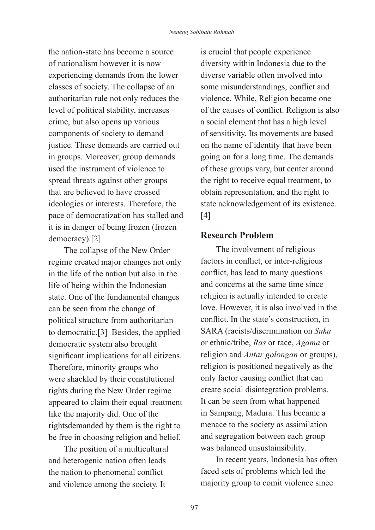the nation-state has become a source of nationalism however it is now experiencing demands from the lower classes of society. The collapse of an authoritarian rule not only reduces the level of political stability, increases crime, but also opens up various components of society to demand justice. These demands are carried out in groups. Moreover, group demands used the instrument of violence to spread threats against other groups that are believed to have crossed ideologies or interests. Therefore, the pace of democratization has stalled and it is in danger of being frozen (frozen democracy).[2]

The collapse of the New Order regime created major changes not only in the life of the nation but also in the life of being within the Indonesian state. One of the fundamental changes can be seen from the change of political structure from authoritarian to democratic.[3] Besides, the applied democratic system also brought significant implications for all citizens. Therefore, minority groups who were shackled by their constitutional rights during the New Order regime appeared to claim their equal treatment like the majority did. One of the rightsdemanded by them is the right to be free in choosing religion and belief.

The position of a multicultural and heterogenic nation often leads the nation to phenomenal conflict and violence among the society. It

is crucial that people experience diversity within Indonesia due to the diverse variable often involved into some misunderstandings, conflict and violence. While, Religion became one of the causes of conflict. Religion is also a social element that has a high level of sensitivity. Its movements are based on the name of identity that have been going on for a long time. The demands of these groups vary, but center around the right to receive equal treatment, to obtain representation, and the right to state acknowledgement of its existence. [4]

# **Research Problem**

The involvement of religious factors in conflict, or inter-religious conflict, has lead to many questions and concerns at the same time since religion is actually intended to create love. However, it is also involved in the conflict. In the state's construction, in SARA (racists/discrimination on *Suku* or ethnic/tribe, *Ras* or race, *Agama* or religion and *Antar golongan* or groups), religion is positioned negatively as the only factor causing conflict that can create social disintegration problems. It can be seen from what happened in Sampang, Madura. This became a menace to the society as assimilation and segregation between each group was balanced unsustainsibility.

In recent years, Indonesia has often faced sets of problems which led the majority group to comit violence since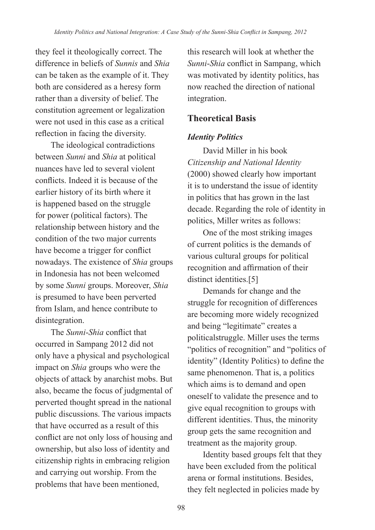they feel it theologically correct. The difference in beliefs of *Sunnis* and *Shia* can be taken as the example of it. They both are considered as a heresy form rather than a diversity of belief. The constitution agreement or legalization were not used in this case as a critical reflection in facing the diversity.

The ideological contradictions between *Sunni* and *Shia* at political nuances have led to several violent conflicts. Indeed it is because of the earlier history of its birth where it is happened based on the struggle for power (political factors). The relationship between history and the condition of the two major currents have become a trigger for conflict nowadays. The existence of *Shia* groups in Indonesia has not been welcomed by some *Sunni* groups. Moreover, *Shia* is presumed to have been perverted from Islam, and hence contribute to disintegration.

The *Sunni*-*Shia* conflict that occurred in Sampang 2012 did not only have a physical and psychological impact on *Shia* groups who were the objects of attack by anarchist mobs. But also, became the focus of judgmental of perverted thought spread in the national public discussions. The various impacts that have occurred as a result of this conflict are not only loss of housing and ownership, but also loss of identity and citizenship rights in embracing religion and carrying out worship. From the problems that have been mentioned,

this research will look at whether the *Sunni*-*Shia* conflict in Sampang, which was motivated by identity politics, has now reached the direction of national integration.

# **Theoretical Basis**

# *Identity Politics*

David Miller in his book *Citizenship and National Identity*  (2000) showed clearly how important it is to understand the issue of identity in politics that has grown in the last decade. Regarding the role of identity in politics, Miller writes as follows:

One of the most striking images of current politics is the demands of various cultural groups for political recognition and affirmation of their distinct identities.<sup>[5]</sup>

Demands for change and the struggle for recognition of differences are becoming more widely recognized and being "legitimate" creates a politicalstruggle. Miller uses the terms "politics of recognition" and "politics of identity" (Identity Politics) to define the same phenomenon. That is, a politics which aims is to demand and open oneself to validate the presence and to give equal recognition to groups with different identities. Thus, the minority group gets the same recognition and treatment as the majority group.

Identity based groups felt that they have been excluded from the political arena or formal institutions. Besides, they felt neglected in policies made by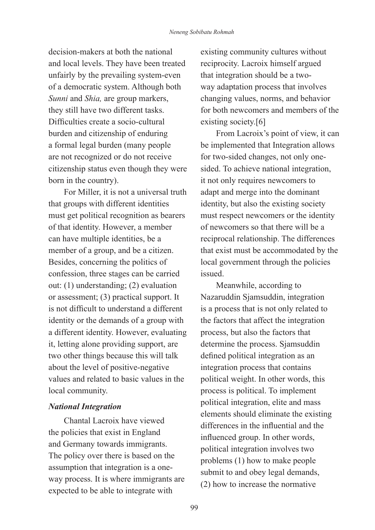decision-makers at both the national and local levels. They have been treated unfairly by the prevailing system-even of a democratic system. Although both *Sunni* and *Shia,* are group markers, they still have two different tasks. Difficulties create a socio-cultural burden and citizenship of enduring a formal legal burden (many people are not recognized or do not receive citizenship status even though they were born in the country).

For Miller, it is not a universal truth that groups with different identities must get political recognition as bearers of that identity. However, a member can have multiple identities, be a member of a group, and be a citizen. Besides, concerning the politics of confession, three stages can be carried out: (1) understanding; (2) evaluation or assessment; (3) practical support. It is not difficult to understand a different identity or the demands of a group with a different identity. However, evaluating it, letting alone providing support, are two other things because this will talk about the level of positive-negative values and related to basic values in the local community.

#### *National Integration*

Chantal Lacroix have viewed the policies that exist in England and Germany towards immigrants. The policy over there is based on the assumption that integration is a oneway process. It is where immigrants are expected to be able to integrate with

existing community cultures without reciprocity. Lacroix himself argued that integration should be a twoway adaptation process that involves changing values, norms, and behavior for both newcomers and members of the existing society.[6]

From Lacroix's point of view, it can be implemented that Integration allows for two-sided changes, not only onesided. To achieve national integration, it not only requires newcomers to adapt and merge into the dominant identity, but also the existing society must respect newcomers or the identity of newcomers so that there will be a reciprocal relationship. The differences that exist must be accommodated by the local government through the policies issued.

Meanwhile, according to Nazaruddin Sjamsuddin, integration is a process that is not only related to the factors that affect the integration process, but also the factors that determine the process. Sjamsuddin defined political integration as an integration process that contains political weight. In other words, this process is political. To implement political integration, elite and mass elements should eliminate the existing differences in the influential and the influenced group. In other words, political integration involves two problems (1) how to make people submit to and obey legal demands, (2) how to increase the normative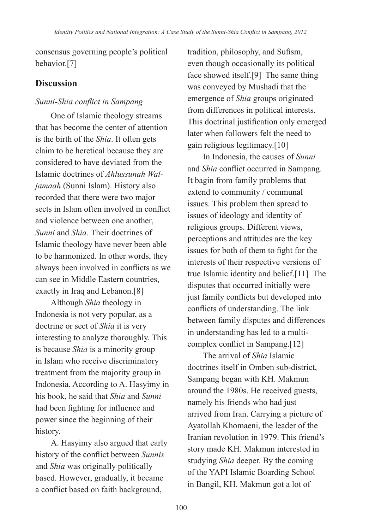consensus governing people's political behavior.[7]

# **Discussion**

# *Sunni-Shia conflict in Sampang*

One of Islamic theology streams that has become the center of attention is the birth of the *Shia*. It often gets claim to be heretical because they are considered to have deviated from the Islamic doctrines of *Ahlussunah Waljamaah* (Sunni Islam). History also recorded that there were two major sects in Islam often involved in conflict and violence between one another *Sunni* and *Shia*. Their doctrines of Islamic theology have never been able to be harmonized. In other words, they always been involved in conflicts as we can see in Middle Eastern countries, exactly in Iraq and Lebanon.[8]

Although *Shia* theology in Indonesia is not very popular, as a doctrine or sect of *Shia* it is very interesting to analyze thoroughly. This is because *Shia* is a minority group in Islam who receive discriminatory treatment from the majority group in Indonesia. According to A. Hasyimy in his book, he said that *Shia* and *Sunni* had been fighting for influence and power since the beginning of their history.

A. Hasyimy also argued that early history of the conflict between *Sunnis* and *Shia* was originally politically based. However, gradually, it became a conflict based on faith background,

tradition, philosophy, and Sufism, even though occasionally its political face showed itself.[9] The same thing was conveyed by Mushadi that the emergence of *Shia* groups originated from differences in political interests. This doctrinal justification only emerged later when followers felt the need to gain religious legitimacy.[10]

In Indonesia, the causes of *Sunni* and *Shia* conflict occurred in Sampang. It bagin from family problems that extend to community / communal issues. This problem then spread to issues of ideology and identity of religious groups. Different views, perceptions and attitudes are the key issues for both of them to fight for the interests of their respective versions of true Islamic identity and belief.[11] The disputes that occurred initially were just family conflicts but developed into conflicts of understanding. The link between family disputes and differences in understanding has led to a multicomplex conflict in Sampang.[12]

The arrival of *Shia* Islamic doctrines itself in Omben sub-district, Sampang began with KH. Makmun around the 1980s. He received guests, namely his friends who had just arrived from Iran. Carrying a picture of Ayatollah Khomaeni, the leader of the Iranian revolution in 1979. This friend's story made KH. Makmun interested in studying *Shia* deeper. By the coming of the YAPI Islamic Boarding School in Bangil, KH. Makmun got a lot of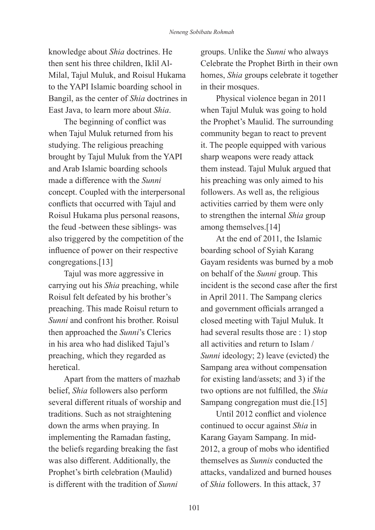knowledge about *Shia* doctrines. He then sent his three children, Iklil Al-Milal, Tajul Muluk, and Roisul Hukama to the YAPI Islamic boarding school in Bangil, as the center of *Shia* doctrines in East Java, to learn more about *Shia*.

The beginning of conflict was when Tajul Muluk returned from his studying. The religious preaching brought by Tajul Muluk from the YAPI and Arab Islamic boarding schools made a difference with the *Sunni* concept. Coupled with the interpersonal conflicts that occurred with Tajul and Roisul Hukama plus personal reasons, the feud -between these siblings- was also triggered by the competition of the influence of power on their respective congregations.[13]

Tajul was more aggressive in carrying out his *Shia* preaching, while Roisul felt defeated by his brother's preaching. This made Roisul return to *Sunni* and confront his brother. Roisul then approached the *Sunni*'s Clerics in his area who had disliked Tajul's preaching, which they regarded as heretical.

Apart from the matters of mazhab belief, *Shia* followers also perform several different rituals of worship and traditions. Such as not straightening down the arms when praying. In implementing the Ramadan fasting, the beliefs regarding breaking the fast was also different. Additionally, the Prophet's birth celebration (Maulid) is different with the tradition of *Sunni*

groups. Unlike the *Sunni* who always Celebrate the Prophet Birth in their own homes, *Shia* groups celebrate it together in their mosques.

Physical violence began in 2011 when Tajul Muluk was going to hold the Prophet's Maulid. The surrounding community began to react to prevent it. The people equipped with various sharp weapons were ready attack them instead. Tajul Muluk argued that his preaching was only aimed to his followers. As well as, the religious activities carried by them were only to strengthen the internal *Shia* group among themselves.[14]

At the end of 2011, the Islamic boarding school of Syiah Karang Gayam residents was burned by a mob on behalf of the *Sunni* group. This incident is the second case after the first in April 2011. The Sampang clerics and government officials arranged a closed meeting with Tajul Muluk. It had several results those are : 1) stop all activities and return to Islam / *Sunni* ideology; 2) leave (evicted) the Sampang area without compensation for existing land/assets; and 3) if the two options are not fulfilled, the *Shia* Sampang congregation must die.[15]

Until 2012 conflict and violence continued to occur against *Shia* in Karang Gayam Sampang. In mid-2012, a group of mobs who identified themselves as *Sunnis* conducted the attacks, vandalized and burned houses of *Shia* followers. In this attack, 37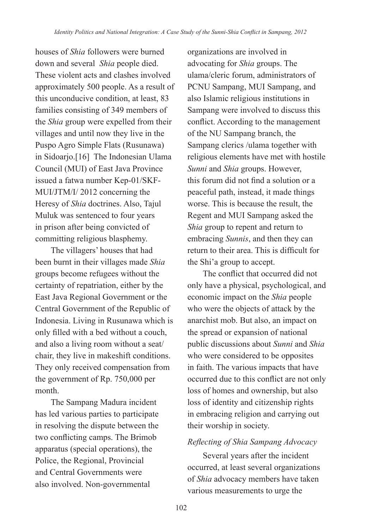houses of *Shia* followers were burned down and several *Shia* people died. These violent acts and clashes involved approximately 500 people. As a result of this unconducive condition, at least, 83 families consisting of 349 members of the *Shia* group were expelled from their villages and until now they live in the Puspo Agro Simple Flats (Rusunawa) in Sidoarjo.[16] The Indonesian Ulama Council (MUI) of East Java Province issued a fatwa number Kep-01/SKF-MUI/JTM/I/ 2012 concerning the Heresy of *Shia* doctrines. Also, Tajul Muluk was sentenced to four years in prison after being convicted of committing religious blasphemy.

The villagers' houses that had been burnt in their villages made *Shia* groups become refugees without the certainty of repatriation, either by the East Java Regional Government or the Central Government of the Republic of Indonesia. Living in Rusunawa which is only filled with a bed without a couch, and also a living room without a seat/ chair, they live in makeshift conditions. They only received compensation from the government of Rp. 750,000 per month.

The Sampang Madura incident has led various parties to participate in resolving the dispute between the two conflicting camps. The Brimob apparatus (special operations), the Police, the Regional, Provincial and Central Governments were also involved. Non-governmental

organizations are involved in advocating for *Shia* groups. The ulama/cleric forum, administrators of PCNU Sampang, MUI Sampang, and also Islamic religious institutions in Sampang were involved to discuss this conflict. According to the management of the NU Sampang branch, the Sampang clerics /ulama together with religious elements have met with hostile *Sunni* and *Shia* groups. However, this forum did not find a solution or a peaceful path, instead, it made things worse. This is because the result, the Regent and MUI Sampang asked the *Shia* group to repent and return to embracing *Sunnis*, and then they can return to their area. This is difficult for the Shi'a group to accept.

The conflict that occurred did not only have a physical, psychological, and economic impact on the *Shia* people who were the objects of attack by the anarchist mob. But also, an impact on the spread or expansion of national public discussions about *Sunni* and *Shia* who were considered to be opposites in faith. The various impacts that have occurred due to this conflict are not only loss of homes and ownership, but also loss of identity and citizenship rights in embracing religion and carrying out their worship in society.

## *Reflecting of Shia Sampang Advocacy*

Several years after the incident occurred, at least several organizations of *Shia* advocacy members have taken various measurements to urge the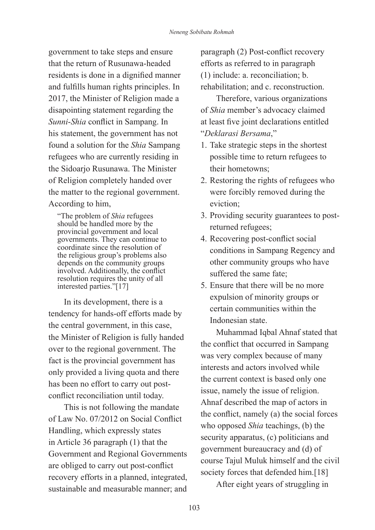government to take steps and ensure that the return of Rusunawa-headed residents is done in a dignified manner and fulfills human rights principles. In 2017, the Minister of Religion made a disapointing statement regarding the *Sunni*-*Shia* conflict in Sampang. In his statement, the government has not found a solution for the *Shia* Sampang refugees who are currently residing in the Sidoarjo Rusunawa. The Minister of Religion completely handed over the matter to the regional government. According to him,

"The problem of *Shia* refugees should be handled more by the provincial government and local governments. They can continue to coordinate since the resolution of the religious group's problems also depends on the community groups involved. Additionally, the conflict resolution requires the unity of all interested parties."[17]

In its development, there is a tendency for hands-off efforts made by the central government, in this case, the Minister of Religion is fully handed over to the regional government. The fact is the provincial government has only provided a living quota and there has been no effort to carry out postconflict reconciliation until today.

This is not following the mandate of Law No. 07/2012 on Social Conflict Handling, which expressly states in Article 36 paragraph (1) that the Government and Regional Governments are obliged to carry out post-conflict recovery efforts in a planned, integrated, sustainable and measurable manner; and

paragraph (2) Post-conflict recovery efforts as referred to in paragraph (1) include: a. reconciliation; b. rehabilitation; and c. reconstruction.

Therefore, various organizations of *Shia* member's advocacy claimed at least five joint declarations entitled "*Deklarasi Bersama*,"

- 1. Take strategic steps in the shortest possible time to return refugees to their hometowns;
- 2. Restoring the rights of refugees who were forcibly removed during the eviction;
- 3. Providing security guarantees to postreturned refugees;
- 4. Recovering post-conflict social conditions in Sampang Regency and other community groups who have suffered the same fate;
- 5. Ensure that there will be no more expulsion of minority groups or certain communities within the Indonesian state.

Muhammad Iqbal Ahnaf stated that the conflict that occurred in Sampang was very complex because of many interests and actors involved while the current context is based only one issue, namely the issue of religion. Ahnaf described the map of actors in the conflict, namely (a) the social forces who opposed *Shia* teachings, (b) the security apparatus, (c) politicians and government bureaucracy and (d) of course Tajul Muluk himself and the civil society forces that defended him.[18]

After eight years of struggling in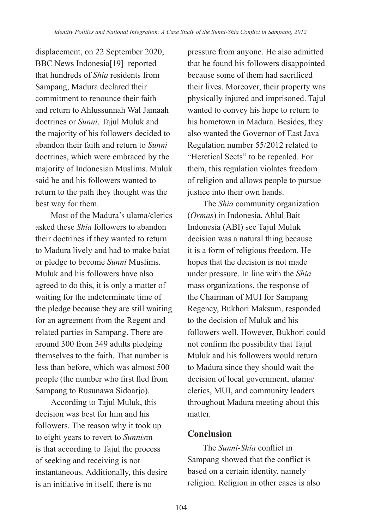displacement, on 22 September 2020, BBC News Indonesia<sup>[19]</sup> reported that hundreds of *Shia* residents from Sampang, Madura declared their commitment to renounce their faith and return to Ahlussunnah Wal Jamaah doctrines or *Sunni*. Tajul Muluk and the majority of his followers decided to abandon their faith and return to *Sunni* doctrines, which were embraced by the majority of Indonesian Muslims. Muluk said he and his followers wanted to return to the path they thought was the best way for them.

Most of the Madura's ulama/clerics asked these *Shia* followers to abandon their doctrines if they wanted to return to Madura lively and had to make baiat or pledge to become *Sunni* Muslims. Muluk and his followers have also agreed to do this, it is only a matter of waiting for the indeterminate time of the pledge because they are still waiting for an agreement from the Regent and related parties in Sampang. There are around 300 from 349 adults pledging themselves to the faith. That number is less than before, which was almost 500 people (the number who first fled from Sampang to Rusunawa Sidoarjo).

According to Tajul Muluk, this decision was best for him and his followers. The reason why it took up to eight years to revert to *Sunnis*m is that according to Tajul the process of seeking and receiving is not instantaneous. Additionally, this desire is an initiative in itself, there is no

pressure from anyone. He also admitted that he found his followers disappointed because some of them had sacrificed their lives. Moreover, their property was physically injured and imprisoned. Tajul wanted to convey his hope to return to his hometown in Madura. Besides, they also wanted the Governor of East Java Regulation number 55/2012 related to "Heretical Sects" to be repealed. For them, this regulation violates freedom of religion and allows people to pursue justice into their own hands.

The *Shia* community organization (*Ormas*) in Indonesia, Ahlul Bait Indonesia (ABI) see Tajul Muluk decision was a natural thing because it is a form of religious freedom. He hopes that the decision is not made under pressure. In line with the *Shia* mass organizations, the response of the Chairman of MUI for Sampang Regency, Bukhori Maksum, responded to the decision of Muluk and his followers well. However, Bukhori could not confirm the possibility that Tajul Muluk and his followers would return to Madura since they should wait the decision of local government, ulama/ clerics, MUI, and community leaders throughout Madura meeting about this matter.

# **Conclusion**

The *Sunni*-*Shia* conflict in Sampang showed that the conflict is based on a certain identity, namely religion. Religion in other cases is also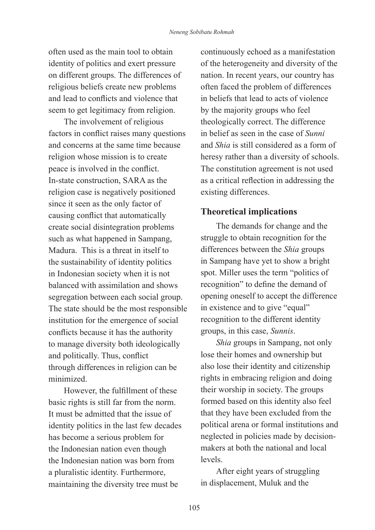often used as the main tool to obtain identity of politics and exert pressure on different groups. The differences of religious beliefs create new problems and lead to conflicts and violence that seem to get legitimacy from religion.

The involvement of religious factors in conflict raises many questions and concerns at the same time because religion whose mission is to create peace is involved in the conflict. In-state construction, SARA as the religion case is negatively positioned since it seen as the only factor of causing conflict that automatically create social disintegration problems such as what happened in Sampang, Madura. This is a threat in itself to the sustainability of identity politics in Indonesian society when it is not balanced with assimilation and shows segregation between each social group. The state should be the most responsible institution for the emergence of social conflicts because it has the authority to manage diversity both ideologically and politically. Thus, conflict through differences in religion can be minimized.

However, the fulfillment of these basic rights is still far from the norm. It must be admitted that the issue of identity politics in the last few decades has become a serious problem for the Indonesian nation even though the Indonesian nation was born from a pluralistic identity. Furthermore, maintaining the diversity tree must be

continuously echoed as a manifestation of the heterogeneity and diversity of the nation. In recent years, our country has often faced the problem of differences in beliefs that lead to acts of violence by the majority groups who feel theologically correct. The difference in belief as seen in the case of *Sunni* and *Shia* is still considered as a form of heresy rather than a diversity of schools. The constitution agreement is not used as a critical reflection in addressing the existing differences.

# **Theoretical implications**

The demands for change and the struggle to obtain recognition for the differences between the *Shia* groups in Sampang have yet to show a bright spot. Miller uses the term "politics of recognition" to define the demand of opening oneself to accept the difference in existence and to give "equal" recognition to the different identity groups, in this case, *Sunnis*.

*Shia* groups in Sampang, not only lose their homes and ownership but also lose their identity and citizenship rights in embracing religion and doing their worship in society. The groups formed based on this identity also feel that they have been excluded from the political arena or formal institutions and neglected in policies made by decisionmakers at both the national and local levels.

After eight years of struggling in displacement, Muluk and the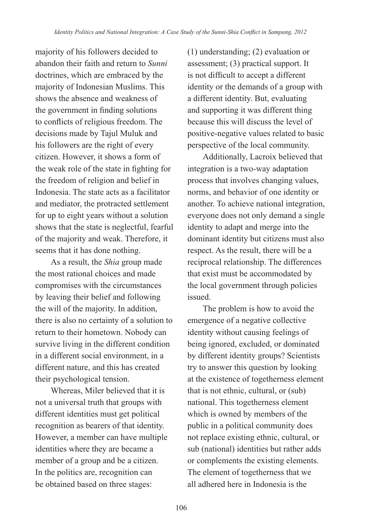majority of his followers decided to abandon their faith and return to *Sunni* doctrines, which are embraced by the majority of Indonesian Muslims. This shows the absence and weakness of the government in finding solutions to conflicts of religious freedom. The decisions made by Tajul Muluk and his followers are the right of every citizen. However, it shows a form of the weak role of the state in fighting for the freedom of religion and belief in Indonesia. The state acts as a facilitator and mediator, the protracted settlement for up to eight years without a solution shows that the state is neglectful, fearful of the majority and weak. Therefore, it seems that it has done nothing.

As a result, the *Shia* group made the most rational choices and made compromises with the circumstances by leaving their belief and following the will of the majority. In addition, there is also no certainty of a solution to return to their hometown. Nobody can survive living in the different condition in a different social environment, in a different nature, and this has created their psychological tension.

Whereas, Miler believed that it is not a universal truth that groups with different identities must get political recognition as bearers of that identity. However, a member can have multiple identities where they are became a member of a group and be a citizen. In the politics are, recognition can be obtained based on three stages:

(1) understanding; (2) evaluation or assessment; (3) practical support. It is not difficult to accept a different identity or the demands of a group with a different identity. But, evaluating and supporting it was different thing because this will discuss the level of positive-negative values related to basic perspective of the local community.

Additionally, Lacroix believed that integration is a two-way adaptation process that involves changing values, norms, and behavior of one identity or another. To achieve national integration, everyone does not only demand a single identity to adapt and merge into the dominant identity but citizens must also respect. As the result, there will be a reciprocal relationship. The differences that exist must be accommodated by the local government through policies issued.

The problem is how to avoid the emergence of a negative collective identity without causing feelings of being ignored, excluded, or dominated by different identity groups? Scientists try to answer this question by looking at the existence of togetherness element that is not ethnic, cultural, or (sub) national. This togetherness element which is owned by members of the public in a political community does not replace existing ethnic, cultural, or sub (national) identities but rather adds or complements the existing elements. The element of togetherness that we all adhered here in Indonesia is the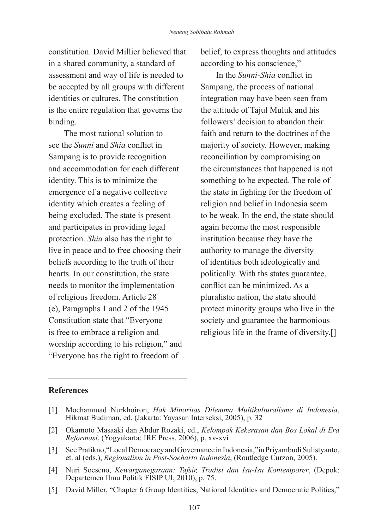constitution. David Millier believed that in a shared community, a standard of assessment and way of life is needed to be accepted by all groups with different identities or cultures. The constitution is the entire regulation that governs the binding.

The most rational solution to see the *Sunni* and *Shia* conflict in Sampang is to provide recognition and accommodation for each different identity. This is to minimize the emergence of a negative collective identity which creates a feeling of being excluded. The state is present and participates in providing legal protection. *Shia* also has the right to live in peace and to free choosing their beliefs according to the truth of their hearts. In our constitution, the state needs to monitor the implementation of religious freedom. Article 28 (e), Paragraphs 1 and 2 of the 1945 Constitution state that "Everyone is free to embrace a religion and worship according to his religion," and "Everyone has the right to freedom of

belief, to express thoughts and attitudes according to his conscience,"

In the *Sunni*-*Shia* conflict in Sampang, the process of national integration may have been seen from the attitude of Tajul Muluk and his followers' decision to abandon their faith and return to the doctrines of the majority of society. However, making reconciliation by compromising on the circumstances that happened is not something to be expected. The role of the state in fighting for the freedom of religion and belief in Indonesia seem to be weak. In the end, the state should again become the most responsible institution because they have the authority to manage the diversity of identities both ideologically and politically. With ths states guarantee, conflict can be minimized. As a pluralistic nation, the state should protect minority groups who live in the society and guarantee the harmonious religious life in the frame of diversity.[]

#### **References**

- [1] Mochammad Nurkhoiron, *Hak Minoritas Dilemma Multikulturalisme di Indonesia*, Hikmat Budiman, ed. (Jakarta: Yayasan Interseksi, 2005), p. 32
- [2] Okamoto Masaaki dan Abdur Rozaki, ed., *Kelompok Kekerasan dan Bos Lokal di Era Reformasi*, (Yogyakarta: IRE Press, 2006), p. xv-xvi
- [3] See Pratikno,"Local Democracy and Governance in Indonesia,"in Priyambudi Sulistyanto, et. al (eds.), *Regionalism in Post-Soeharto Indonesia*, (Routledge Curzon, 2005).
- [4] Nuri Soeseno, *Kewarganegaraan: Tafsir, Tradisi dan Isu-Isu Kontemporer*, (Depok: Departemen Ilmu Politik FISIP UI, 2010), p. 75.
- [5] David Miller, "Chapter 6 Group Identities, National Identities and Democratic Politics,"